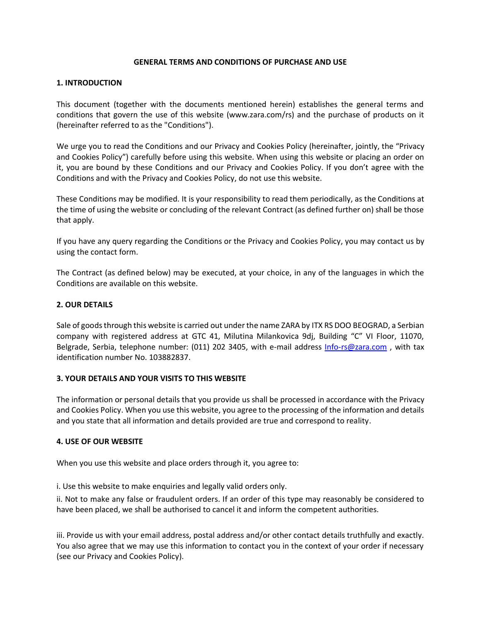## **GENERAL TERMS AND CONDITIONS OF PURCHASE AND USE**

## **1. INTRODUCTION**

This document (together with the documents mentioned herein) establishes the general terms and conditions that govern the use of this website (www.zara.com/rs) and the purchase of products on it (hereinafter referred to as the "Conditions").

We urge you to read the Conditions and our Privacy and Cookies Policy (hereinafter, jointly, the "Privacy and Cookies Policy") carefully before using this website. When using this website or placing an order on it, you are bound by these Conditions and our Privacy and Cookies Policy. If you don't agree with the Conditions and with the Privacy and Cookies Policy, do not use this website.

These Conditions may be modified. It is your responsibility to read them periodically, as the Conditions at the time of using the website or concluding of the relevant Contract (as defined further on) shall be those that apply.

If you have any query regarding the Conditions or the Privacy and Cookies Policy, you may contact us by using the contact form.

The Contract (as defined below) may be executed, at your choice, in any of the languages in which the Conditions are available on this website.

# **2. OUR DETAILS**

Sale of goods through this website is carried out under the name ZARA by ITX RS DOO BEOGRAD, a Serbian company with registered address at GTC 41, Milutina Milankovica 9dj, Building "C" VI Floor, 11070, Belgrade, Serbia, telephone number: (011) 202 3405, with e-mail address [Info-rs@zara.com](mailto:Info-rs@zara.com) , with tax identification number No. 103882837.

#### **3. YOUR DETAILS AND YOUR VISITS TO THIS WEBSITE**

The information or personal details that you provide us shall be processed in accordance with the Privacy and Cookies Policy. When you use this website, you agree to the processing of the information and details and you state that all information and details provided are true and correspond to reality.

#### **4. USE OF OUR WEBSITE**

When you use this website and place orders through it, you agree to:

i. Use this website to make enquiries and legally valid orders only.

ii. Not to make any false or fraudulent orders. If an order of this type may reasonably be considered to have been placed, we shall be authorised to cancel it and inform the competent authorities.

iii. Provide us with your email address, postal address and/or other contact details truthfully and exactly. You also agree that we may use this information to contact you in the context of your order if necessary (see our Privacy and Cookies Policy).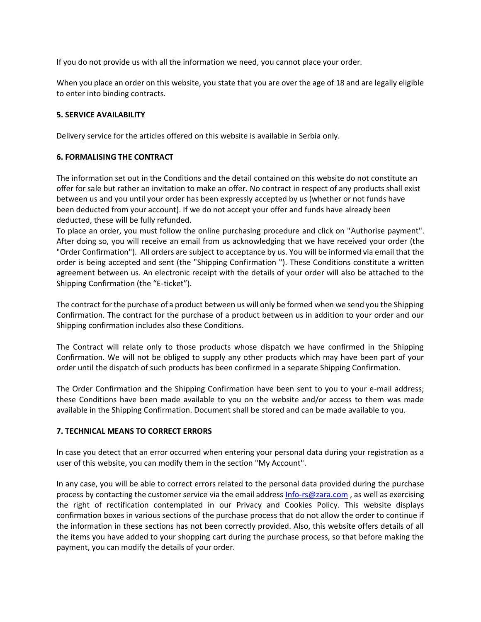If you do not provide us with all the information we need, you cannot place your order.

When you place an order on this website, you state that you are over the age of 18 and are legally eligible to enter into binding contracts.

## **5. SERVICE AVAILABILITY**

Delivery service for the articles offered on this website is available in Serbia only.

## **6. FORMALISING THE CONTRACT**

The information set out in the Conditions and the detail contained on this website do not constitute an offer for sale but rather an invitation to make an offer. No contract in respect of any products shall exist between us and you until your order has been expressly accepted by us (whether or not funds have been deducted from your account). If we do not accept your offer and funds have already been deducted, these will be fully refunded.

To place an order, you must follow the online purchasing procedure and click on "Authorise payment". After doing so, you will receive an email from us acknowledging that we have received your order (the "Order Confirmation"). All orders are subject to acceptance by us. You will be informed via email that the order is being accepted and sent (the "Shipping Confirmation "). These Conditions constitute a written agreement between us. An electronic receipt with the details of your order will also be attached to the Shipping Confirmation (the "E-ticket").

The contract for the purchase of a product between us will only be formed when we send you the Shipping Confirmation. The contract for the purchase of a product between us in addition to your order and our Shipping confirmation includes also these Conditions.

The Contract will relate only to those products whose dispatch we have confirmed in the Shipping Confirmation. We will not be obliged to supply any other products which may have been part of your order until the dispatch of such products has been confirmed in a separate Shipping Confirmation.

The Order Confirmation and the Shipping Confirmation have been sent to you to your e-mail address; these Conditions have been made available to you on the website and/or access to them was made available in the Shipping Confirmation. Document shall be stored and can be made available to you.

# **7. TECHNICAL MEANS TO CORRECT ERRORS**

In case you detect that an error occurred when entering your personal data during your registration as a user of this website, you can modify them in the section "My Account".

In any case, you will be able to correct errors related to the personal data provided during the purchase process by contacting the customer service via the email address [Info-rs@zara.com](mailto:Info-rs@zara.com) , as well as exercising the right of rectification contemplated in our Privacy and Cookies Policy. This website displays confirmation boxes in various sections of the purchase process that do not allow the order to continue if the information in these sections has not been correctly provided. Also, this website offers details of all the items you have added to your shopping cart during the purchase process, so that before making the payment, you can modify the details of your order.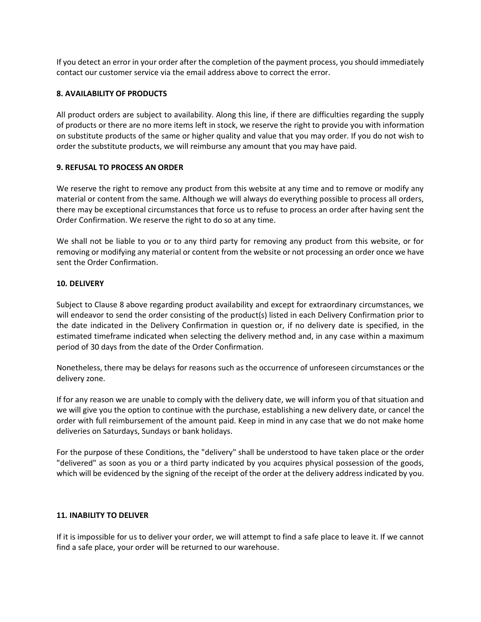If you detect an error in your order after the completion of the payment process, you should immediately contact our customer service via the email address above to correct the error.

## **8. AVAILABILITY OF PRODUCTS**

All product orders are subject to availability. Along this line, if there are difficulties regarding the supply of products or there are no more items left in stock, we reserve the right to provide you with information on substitute products of the same or higher quality and value that you may order. If you do not wish to order the substitute products, we will reimburse any amount that you may have paid.

## **9. REFUSAL TO PROCESS AN ORDER**

We reserve the right to remove any product from this website at any time and to remove or modify any material or content from the same. Although we will always do everything possible to process all orders, there may be exceptional circumstances that force us to refuse to process an order after having sent the Order Confirmation. We reserve the right to do so at any time.

We shall not be liable to you or to any third party for removing any product from this website, or for removing or modifying any material or content from the website or not processing an order once we have sent the Order Confirmation.

## **10. DELIVERY**

Subject to Clause 8 above regarding product availability and except for extraordinary circumstances, we will endeavor to send the order consisting of the product(s) listed in each Delivery Confirmation prior to the date indicated in the Delivery Confirmation in question or, if no delivery date is specified, in the estimated timeframe indicated when selecting the delivery method and, in any case within a maximum period of 30 days from the date of the Order Confirmation.

Nonetheless, there may be delays for reasons such as the occurrence of unforeseen circumstances or the delivery zone.

If for any reason we are unable to comply with the delivery date, we will inform you of that situation and we will give you the option to continue with the purchase, establishing a new delivery date, or cancel the order with full reimbursement of the amount paid. Keep in mind in any case that we do not make home deliveries on Saturdays, Sundays or bank holidays.

For the purpose of these Conditions, the "delivery" shall be understood to have taken place or the order "delivered" as soon as you or a third party indicated by you acquires physical possession of the goods, which will be evidenced by the signing of the receipt of the order at the delivery address indicated by you.

#### **11. INABILITY TO DELIVER**

If it is impossible for us to deliver your order, we will attempt to find a safe place to leave it. If we cannot find a safe place, your order will be returned to our warehouse.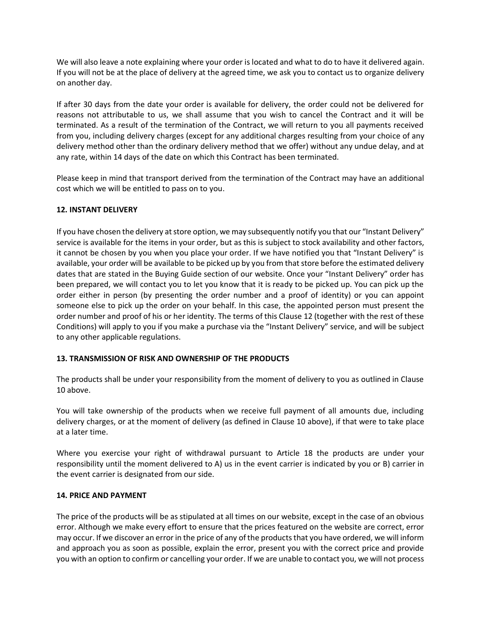We will also leave a note explaining where your order is located and what to do to have it delivered again. If you will not be at the place of delivery at the agreed time, we ask you to contact us to organize delivery on another day.

If after 30 days from the date your order is available for delivery, the order could not be delivered for reasons not attributable to us, we shall assume that you wish to cancel the Contract and it will be terminated. As a result of the termination of the Contract, we will return to you all payments received from you, including delivery charges (except for any additional charges resulting from your choice of any delivery method other than the ordinary delivery method that we offer) without any undue delay, and at any rate, within 14 days of the date on which this Contract has been terminated.

Please keep in mind that transport derived from the termination of the Contract may have an additional cost which we will be entitled to pass on to you.

# **12. INSTANT DELIVERY**

If you have chosen the delivery at store option, we may subsequently notify you that our "Instant Delivery" service is available for the items in your order, but as this is subject to stock availability and other factors, it cannot be chosen by you when you place your order. If we have notified you that "Instant Delivery" is available, your order will be available to be picked up by you from that store before the estimated delivery dates that are stated in the Buying Guide section of our website. Once your "Instant Delivery" order has been prepared, we will contact you to let you know that it is ready to be picked up. You can pick up the order either in person (by presenting the order number and a proof of identity) or you can appoint someone else to pick up the order on your behalf. In this case, the appointed person must present the order number and proof of his or her identity. The terms of this Clause 12 (together with the rest of these Conditions) will apply to you if you make a purchase via the "Instant Delivery" service, and will be subject to any other applicable regulations.

# **13. TRANSMISSION OF RISK AND OWNERSHIP OF THE PRODUCTS**

The products shall be under your responsibility from the moment of delivery to you as outlined in Clause 10 above.

You will take ownership of the products when we receive full payment of all amounts due, including delivery charges, or at the moment of delivery (as defined in Clause 10 above), if that were to take place at a later time.

Where you exercise your right of withdrawal pursuant to Article 18 the products are under your responsibility until the moment delivered to A) us in the event carrier is indicated by you or B) carrier in the event carrier is designated from our side.

# **14. PRICE AND PAYMENT**

The price of the products will be as stipulated at all times on our website, except in the case of an obvious error. Although we make every effort to ensure that the prices featured on the website are correct, error may occur. If we discover an error in the price of any of the products that you have ordered, we will inform and approach you as soon as possible, explain the error, present you with the correct price and provide you with an option to confirm or cancelling your order. If we are unable to contact you, we will not process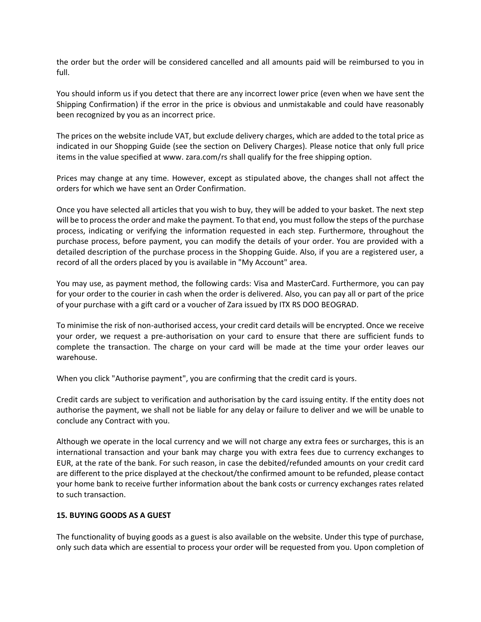the order but the order will be considered cancelled and all amounts paid will be reimbursed to you in full.

You should inform us if you detect that there are any incorrect lower price (even when we have sent the Shipping Confirmation) if the error in the price is obvious and unmistakable and could have reasonably been recognized by you as an incorrect price.

The prices on the website include VAT, but exclude delivery charges, which are added to the total price as indicated in our Shopping Guide (see the section on Delivery Charges). Please notice that only full price items in the value specified at www. zara.com/rs shall qualify for the free shipping option.

Prices may change at any time. However, except as stipulated above, the changes shall not affect the orders for which we have sent an Order Confirmation.

Once you have selected all articles that you wish to buy, they will be added to your basket. The next step will be to process the order and make the payment. To that end, you must follow the steps of the purchase process, indicating or verifying the information requested in each step. Furthermore, throughout the purchase process, before payment, you can modify the details of your order. You are provided with a detailed description of the purchase process in the Shopping Guide. Also, if you are a registered user, a record of all the orders placed by you is available in "My Account" area.

You may use, as payment method, the following cards: Visa and MasterCard. Furthermore, you can pay for your order to the courier in cash when the order is delivered. Also, you can pay all or part of the price of your purchase with a gift card or a voucher of Zara issued by ITX RS DOO BEOGRAD.

To minimise the risk of non-authorised access, your credit card details will be encrypted. Once we receive your order, we request a pre-authorisation on your card to ensure that there are sufficient funds to complete the transaction. The charge on your card will be made at the time your order leaves our warehouse.

When you click "Authorise payment", you are confirming that the credit card is yours.

Credit cards are subject to verification and authorisation by the card issuing entity. If the entity does not authorise the payment, we shall not be liable for any delay or failure to deliver and we will be unable to conclude any Contract with you.

Although we operate in the local currency and we will not charge any extra fees or surcharges, this is an international transaction and your bank may charge you with extra fees due to currency exchanges to EUR, at the rate of the bank. For such reason, in case the debited/refunded amounts on your credit card are different to the price displayed at the checkout/the confirmed amount to be refunded, please contact your home bank to receive further information about the bank costs or currency exchanges rates related to such transaction.

# **15. BUYING GOODS AS A GUEST**

The functionality of buying goods as a guest is also available on the website. Under this type of purchase, only such data which are essential to process your order will be requested from you. Upon completion of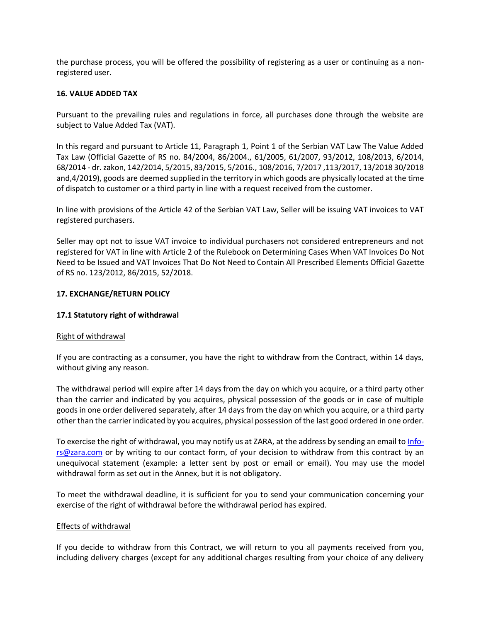the purchase process, you will be offered the possibility of registering as a user or continuing as a nonregistered user.

## **16. VALUE ADDED TAX**

Pursuant to the prevailing rules and regulations in force, all purchases done through the website are subject to Value Added Tax (VAT).

In this regard and pursuant to Article 11, Paragraph 1, Point 1 of the Serbian VAT Law The Value Added Tax Law (Official Gazette of RS no. 84/2004, 86/2004., 61/2005, 61/2007, 93/2012, 108/2013, 6/2014, 68/2014 - dr. zakon, 142/2014, 5/2015, 83/2015, 5/2016., 108/2016, 7/2017 ,113/2017, 13/2018 30/2018 and,4/2019), goods are deemed supplied in the territory in which goods are physically located at the time of dispatch to customer or a third party in line with a request received from the customer.

In line with provisions of the Article 42 of the Serbian VAT Law, Seller will be issuing VAT invoices to VAT registered purchasers.

Seller may opt not to issue VAT invoice to individual purchasers not considered entrepreneurs and not registered for VAT in line with Article 2 of the Rulebook on Determining Cases When VAT Invoices Do Not Need to be Issued and VAT Invoices That Do Not Need to Contain All Prescribed Elements Official Gazette of RS no. 123/2012, 86/2015, 52/2018.

## **17. EXCHANGE/RETURN POLICY**

## **17.1 Statutory right of withdrawal**

#### Right of withdrawal

If you are contracting as a consumer, you have the right to withdraw from the Contract, within 14 days, without giving any reason.

The withdrawal period will expire after 14 days from the day on which you acquire, or a third party other than the carrier and indicated by you acquires, physical possession of the goods or in case of multiple goods in one order delivered separately, after 14 days from the day on which you acquire, or a third party other than the carrier indicated by you acquires, physical possession of the last good ordered in one order.

To exercise the right of withdrawal, you may notify us at ZARA, at the address by sending an email to [Info](mailto:Info-rs@zara.com)[rs@zara.com](mailto:Info-rs@zara.com) or by writing to our contact form, of your decision to withdraw from this contract by an unequivocal statement (example: a letter sent by post or email or email). You may use the model withdrawal form as set out in the Annex, but it is not obligatory.

To meet the withdrawal deadline, it is sufficient for you to send your communication concerning your exercise of the right of withdrawal before the withdrawal period has expired.

#### Effects of withdrawal

If you decide to withdraw from this Contract, we will return to you all payments received from you, including delivery charges (except for any additional charges resulting from your choice of any delivery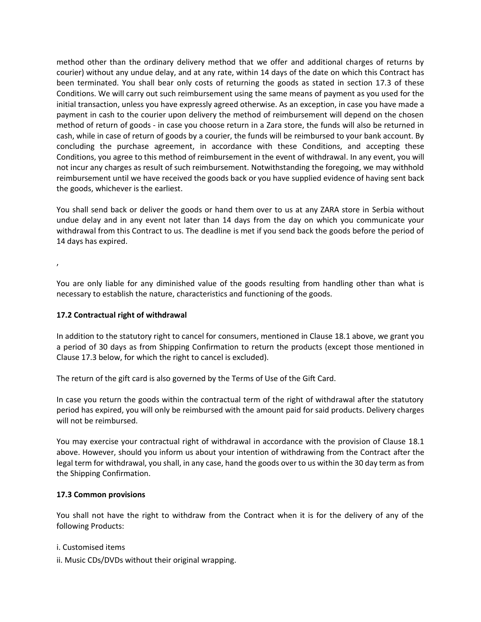method other than the ordinary delivery method that we offer and additional charges of returns by courier) without any undue delay, and at any rate, within 14 days of the date on which this Contract has been terminated. You shall bear only costs of returning the goods as stated in section 17.3 of these Conditions. We will carry out such reimbursement using the same means of payment as you used for the initial transaction, unless you have expressly agreed otherwise. As an exception, in case you have made a payment in cash to the courier upon delivery the method of reimbursement will depend on the chosen method of return of goods - in case you choose return in a Zara store, the funds will also be returned in cash, while in case of return of goods by a courier, the funds will be reimbursed to your bank account. By concluding the purchase agreement, in accordance with these Conditions, and accepting these Conditions, you agree to this method of reimbursement in the event of withdrawal. In any event, you will not incur any charges as result of such reimbursement. Notwithstanding the foregoing, we may withhold reimbursement until we have received the goods back or you have supplied evidence of having sent back the goods, whichever is the earliest.

You shall send back or deliver the goods or hand them over to us at any ZARA store in Serbia without undue delay and in any event not later than 14 days from the day on which you communicate your withdrawal from this Contract to us. The deadline is met if you send back the goods before the period of 14 days has expired.

,

You are only liable for any diminished value of the goods resulting from handling other than what is necessary to establish the nature, characteristics and functioning of the goods.

# **17.2 Contractual right of withdrawal**

In addition to the statutory right to cancel for consumers, mentioned in Clause 18.1 above, we grant you a period of 30 days as from Shipping Confirmation to return the products (except those mentioned in Clause 17.3 below, for which the right to cancel is excluded).

The return of the gift card is also governed by the Terms of Use of the Gift Card.

In case you return the goods within the contractual term of the right of withdrawal after the statutory period has expired, you will only be reimbursed with the amount paid for said products. Delivery charges will not be reimbursed.

You may exercise your contractual right of withdrawal in accordance with the provision of Clause 18.1 above. However, should you inform us about your intention of withdrawing from the Contract after the legal term for withdrawal, you shall, in any case, hand the goods over to us within the 30 day term as from the Shipping Confirmation.

# **17.3 Common provisions**

You shall not have the right to withdraw from the Contract when it is for the delivery of any of the following Products:

#### i. Customised items

ii. Music CDs/DVDs without their original wrapping.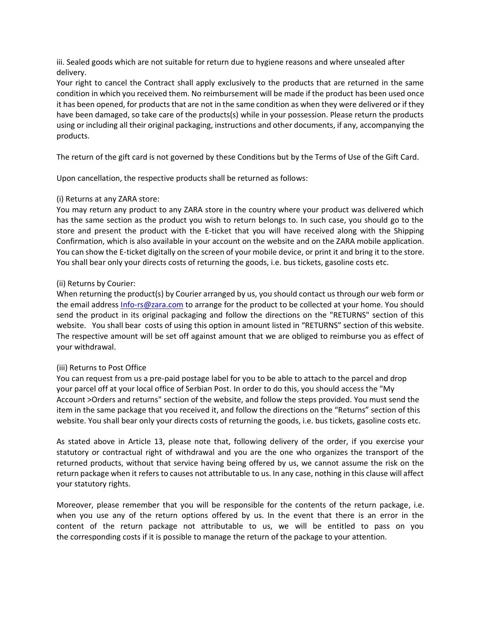iii. Sealed goods which are not suitable for return due to hygiene reasons and where unsealed after delivery.

Your right to cancel the Contract shall apply exclusively to the products that are returned in the same condition in which you received them. No reimbursement will be made if the product has been used once it has been opened, for products that are not in the same condition as when they were delivered or if they have been damaged, so take care of the products(s) while in your possession. Please return the products using or including all their original packaging, instructions and other documents, if any, accompanying the products.

The return of the gift card is not governed by these Conditions but by the Terms of Use of the Gift Card.

Upon cancellation, the respective products shall be returned as follows:

## (i) Returns at any ZARA store:

You may return any product to any ZARA store in the country where your product was delivered which has the same section as the product you wish to return belongs to. In such case, you should go to the store and present the product with the E-ticket that you will have received along with the Shipping Confirmation, which is also available in your account on the website and on the ZARA mobile application. You can show the E-ticket digitally on the screen of your mobile device, or print it and bring it to the store. You shall bear only your directs costs of returning the goods, i.e. bus tickets, gasoline costs etc.

## (ii) Returns by Courier:

When returning the product(s) by Courier arranged by us, you should contact us through our web form or the email address [Info-rs@zara.com](mailto:Info-rs@zara.com) to arrange for the product to be collected at your home. You should send the product in its original packaging and follow the directions on the "RETURNS" section of this website. You shall bear costs of using this option in amount listed in "RETURNS" section of this website. The respective amount will be set off against amount that we are obliged to reimburse you as effect of your withdrawal.

# (iii) Returns to Post Office

You can request from us a pre-paid postage label for you to be able to attach to the parcel and drop your parcel off at your local office of Serbian Post. In order to do this, you should access the "My Account >Orders and returns" section of the website, and follow the steps provided. You must send the item in the same package that you received it, and follow the directions on the "Returns" section of this website. You shall bear only your directs costs of returning the goods, i.e. bus tickets, gasoline costs etc.

As stated above in Article 13, please note that, following delivery of the order, if you exercise your statutory or contractual right of withdrawal and you are the one who organizes the transport of the returned products, without that service having being offered by us, we cannot assume the risk on the return package when it refers to causes not attributable to us. In any case, nothing in this clause will affect your statutory rights.

Moreover, please remember that you will be responsible for the contents of the return package, i.e. when you use any of the return options offered by us. In the event that there is an error in the content of the return package not attributable to us, we will be entitled to pass on you the corresponding costs if it is possible to manage the return of the package to your attention.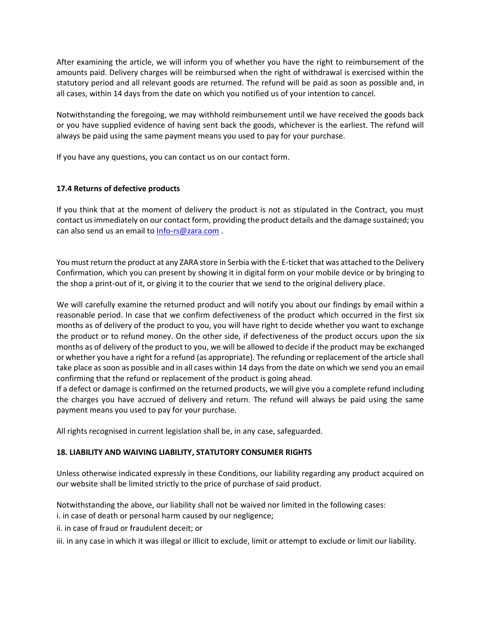After examining the article, we will inform you of whether you have the right to reimbursement of the amounts paid. Delivery charges will be reimbursed when the right of withdrawal is exercised within the statutory period and all relevant goods are returned. The refund will be paid as soon as possible and, in all cases, within 14 days from the date on which you notified us of your intention to cancel.

Notwithstanding the foregoing, we may withhold reimbursement until we have received the goods back or you have supplied evidence of having sent back the goods, whichever is the earliest. The refund will always be paid using the same payment means you used to pay for your purchase.

If you have any questions, you can contact us on our contact form.

# **17.4 Returns of defective products**

If you think that at the moment of delivery the product is not as stipulated in the Contract, you must contact us immediately on our contact form, providing the product details and the damage sustained; you can also send us an email to [Info-rs@zara.com](mailto:Info-rs@zara.com).

You must return the product at any ZARA store in Serbia with the E-ticket that was attached to the Delivery Confirmation, which you can present by showing it in digital form on your mobile device or by bringing to the shop a print-out of it, or giving it to the courier that we send to the original delivery place.

We will carefully examine the returned product and will notify you about our findings by email within a reasonable period. In case that we confirm defectiveness of the product which occurred in the first six months as of delivery of the product to you, you will have right to decide whether you want to exchange the product or to refund money. On the other side, if defectiveness of the product occurs upon the six months as of delivery of the product to you, we will be allowed to decide if the product may be exchanged or whether you have a right for a refund (as appropriate). The refunding or replacement of the article shall take place as soon as possible and in all cases within 14 days from the date on which we send you an email confirming that the refund or replacement of the product is going ahead.

If a defect or damage is confirmed on the returned products, we will give you a complete refund including the charges you have accrued of delivery and return. The refund will always be paid using the same payment means you used to pay for your purchase.

All rights recognised in current legislation shall be, in any case, safeguarded.

# **18. LIABILITY AND WAIVING LIABILITY, STATUTORY CONSUMER RIGHTS**

Unless otherwise indicated expressly in these Conditions, our liability regarding any product acquired on our website shall be limited strictly to the price of purchase of said product.

Notwithstanding the above, our liability shall not be waived nor limited in the following cases: i. in case of death or personal harm caused by our negligence;

- ii. in case of fraud or fraudulent deceit; or
- iii. in any case in which it was illegal or illicit to exclude, limit or attempt to exclude or limit our liability.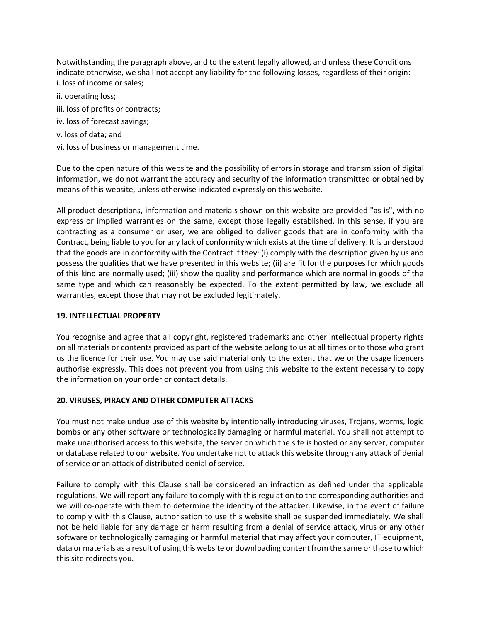Notwithstanding the paragraph above, and to the extent legally allowed, and unless these Conditions indicate otherwise, we shall not accept any liability for the following losses, regardless of their origin: i. loss of income or sales;

- ii. operating loss;
- iii. loss of profits or contracts;
- iv. loss of forecast savings;
- v. loss of data; and
- vi. loss of business or management time.

Due to the open nature of this website and the possibility of errors in storage and transmission of digital information, we do not warrant the accuracy and security of the information transmitted or obtained by means of this website, unless otherwise indicated expressly on this website.

All product descriptions, information and materials shown on this website are provided "as is", with no express or implied warranties on the same, except those legally established. In this sense, if you are contracting as a consumer or user, we are obliged to deliver goods that are in conformity with the Contract, being liable to you for any lack of conformity which exists at the time of delivery. It is understood that the goods are in conformity with the Contract if they: (i) comply with the description given by us and possess the qualities that we have presented in this website; (ii) are fit for the purposes for which goods of this kind are normally used; (iii) show the quality and performance which are normal in goods of the same type and which can reasonably be expected. To the extent permitted by law, we exclude all warranties, except those that may not be excluded legitimately.

# **19. INTELLECTUAL PROPERTY**

You recognise and agree that all copyright, registered trademarks and other intellectual property rights on all materials or contents provided as part of the website belong to us at all times or to those who grant us the licence for their use. You may use said material only to the extent that we or the usage licencers authorise expressly. This does not prevent you from using this website to the extent necessary to copy the information on your order or contact details.

# **20. VIRUSES, PIRACY AND OTHER COMPUTER ATTACKS**

You must not make undue use of this website by intentionally introducing viruses, Trojans, worms, logic bombs or any other software or technologically damaging or harmful material. You shall not attempt to make unauthorised access to this website, the server on which the site is hosted or any server, computer or database related to our website. You undertake not to attack this website through any attack of denial of service or an attack of distributed denial of service.

Failure to comply with this Clause shall be considered an infraction as defined under the applicable regulations. We will report any failure to comply with this regulation to the corresponding authorities and we will co-operate with them to determine the identity of the attacker. Likewise, in the event of failure to comply with this Clause, authorisation to use this website shall be suspended immediately. We shall not be held liable for any damage or harm resulting from a denial of service attack, virus or any other software or technologically damaging or harmful material that may affect your computer, IT equipment, data or materials as a result of using this website or downloading content from the same or those to which this site redirects you.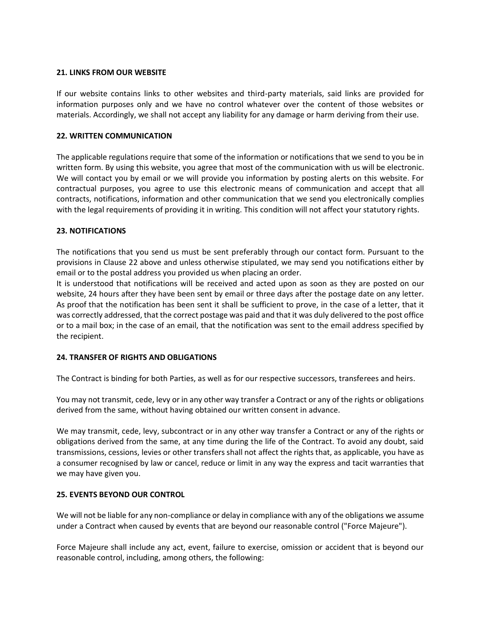## **21. LINKS FROM OUR WEBSITE**

If our website contains links to other websites and third-party materials, said links are provided for information purposes only and we have no control whatever over the content of those websites or materials. Accordingly, we shall not accept any liability for any damage or harm deriving from their use.

## **22. WRITTEN COMMUNICATION**

The applicable regulations require that some of the information or notifications that we send to you be in written form. By using this website, you agree that most of the communication with us will be electronic. We will contact you by email or we will provide you information by posting alerts on this website. For contractual purposes, you agree to use this electronic means of communication and accept that all contracts, notifications, information and other communication that we send you electronically complies with the legal requirements of providing it in writing. This condition will not affect your statutory rights.

## **23. NOTIFICATIONS**

The notifications that you send us must be sent preferably through our contact form. Pursuant to the provisions in Clause 22 above and unless otherwise stipulated, we may send you notifications either by email or to the postal address you provided us when placing an order.

It is understood that notifications will be received and acted upon as soon as they are posted on our website, 24 hours after they have been sent by email or three days after the postage date on any letter. As proof that the notification has been sent it shall be sufficient to prove, in the case of a letter, that it was correctly addressed, that the correct postage was paid and that it was duly delivered to the post office or to a mail box; in the case of an email, that the notification was sent to the email address specified by the recipient.

# **24. TRANSFER OF RIGHTS AND OBLIGATIONS**

The Contract is binding for both Parties, as well as for our respective successors, transferees and heirs.

You may not transmit, cede, levy or in any other way transfer a Contract or any of the rights or obligations derived from the same, without having obtained our written consent in advance.

We may transmit, cede, levy, subcontract or in any other way transfer a Contract or any of the rights or obligations derived from the same, at any time during the life of the Contract. To avoid any doubt, said transmissions, cessions, levies or other transfers shall not affect the rights that, as applicable, you have as a consumer recognised by law or cancel, reduce or limit in any way the express and tacit warranties that we may have given you.

#### **25. EVENTS BEYOND OUR CONTROL**

We will not be liable for any non-compliance or delay in compliance with any of the obligations we assume under a Contract when caused by events that are beyond our reasonable control ("Force Majeure").

Force Majeure shall include any act, event, failure to exercise, omission or accident that is beyond our reasonable control, including, among others, the following: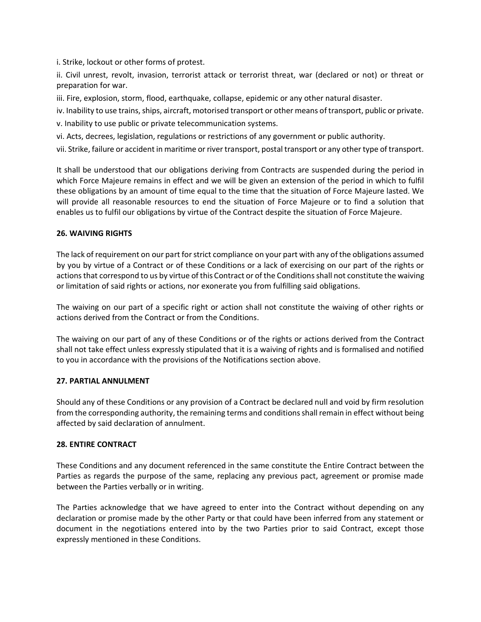i. Strike, lockout or other forms of protest.

ii. Civil unrest, revolt, invasion, terrorist attack or terrorist threat, war (declared or not) or threat or preparation for war.

iii. Fire, explosion, storm, flood, earthquake, collapse, epidemic or any other natural disaster.

iv. Inability to use trains, ships, aircraft, motorised transport or other means of transport, public or private.

v. Inability to use public or private telecommunication systems.

vi. Acts, decrees, legislation, regulations or restrictions of any government or public authority.

vii. Strike, failure or accident in maritime or river transport, postal transport or any other type of transport.

It shall be understood that our obligations deriving from Contracts are suspended during the period in which Force Majeure remains in effect and we will be given an extension of the period in which to fulfil these obligations by an amount of time equal to the time that the situation of Force Majeure lasted. We will provide all reasonable resources to end the situation of Force Majeure or to find a solution that enables us to fulfil our obligations by virtue of the Contract despite the situation of Force Majeure.

# **26. WAIVING RIGHTS**

The lack of requirement on our part for strict compliance on your part with any of the obligations assumed by you by virtue of a Contract or of these Conditions or a lack of exercising on our part of the rights or actions that correspond to us by virtue of this Contract or of the Conditions shall not constitute the waiving or limitation of said rights or actions, nor exonerate you from fulfilling said obligations.

The waiving on our part of a specific right or action shall not constitute the waiving of other rights or actions derived from the Contract or from the Conditions.

The waiving on our part of any of these Conditions or of the rights or actions derived from the Contract shall not take effect unless expressly stipulated that it is a waiving of rights and is formalised and notified to you in accordance with the provisions of the Notifications section above.

# **27. PARTIAL ANNULMENT**

Should any of these Conditions or any provision of a Contract be declared null and void by firm resolution from the corresponding authority, the remaining terms and conditions shall remain in effect without being affected by said declaration of annulment.

# **28. ENTIRE CONTRACT**

These Conditions and any document referenced in the same constitute the Entire Contract between the Parties as regards the purpose of the same, replacing any previous pact, agreement or promise made between the Parties verbally or in writing.

The Parties acknowledge that we have agreed to enter into the Contract without depending on any declaration or promise made by the other Party or that could have been inferred from any statement or document in the negotiations entered into by the two Parties prior to said Contract, except those expressly mentioned in these Conditions.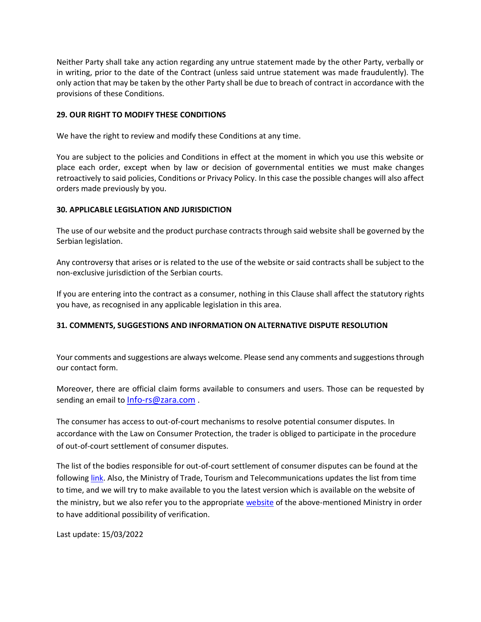Neither Party shall take any action regarding any untrue statement made by the other Party, verbally or in writing, prior to the date of the Contract (unless said untrue statement was made fraudulently). The only action that may be taken by the other Party shall be due to breach of contract in accordance with the provisions of these Conditions.

# **29. OUR RIGHT TO MODIFY THESE CONDITIONS**

We have the right to review and modify these Conditions at any time.

You are subject to the policies and Conditions in effect at the moment in which you use this website or place each order, except when by law or decision of governmental entities we must make changes retroactively to said policies, Conditions or Privacy Policy. In this case the possible changes will also affect orders made previously by you.

# **30. APPLICABLE LEGISLATION AND JURISDICTION**

The use of our website and the product purchase contracts through said website shall be governed by the Serbian legislation.

Any controversy that arises or is related to the use of the website or said contracts shall be subject to the non-exclusive jurisdiction of the Serbian courts.

If you are entering into the contract as a consumer, nothing in this Clause shall affect the statutory rights you have, as recognised in any applicable legislation in this area.

# **31. COMMENTS, SUGGESTIONS AND INFORMATION ON ALTERNATIVE DISPUTE RESOLUTION**

Your comments and suggestions are always welcome. Please send any comments and suggestions through our contact form.

Moreover, there are official claim forms available to consumers and users. Those can be requested by sending an email to [Info-rs@zara.com](mailto:Info-rs@zara.com).

The consumer has access to out-of-court mechanisms to resolve potential consumer disputes. In accordance with the Law on Consumer Protection, the trader is obliged to participate in the procedure of out-of-court settlement of consumer disputes.

The list of the bodies responsible for out-of-court settlement of consumer disputes can be found at the following [link.](https://mtt.gov.rs/extfile/sr/33309/lifstaa.pdf) Also, the Ministry of Trade, Tourism and Telecommunications updates the list from time to time, and we will try to make available to you the latest version which is available on the website of the ministry, but we also refer you to the appropriate [website](https://mtt.gov.rs/tekst/2306/zastita-potrosaca.php) of the above-mentioned Ministry in order to have additional possibility of verification.

Last update: 15/03/2022